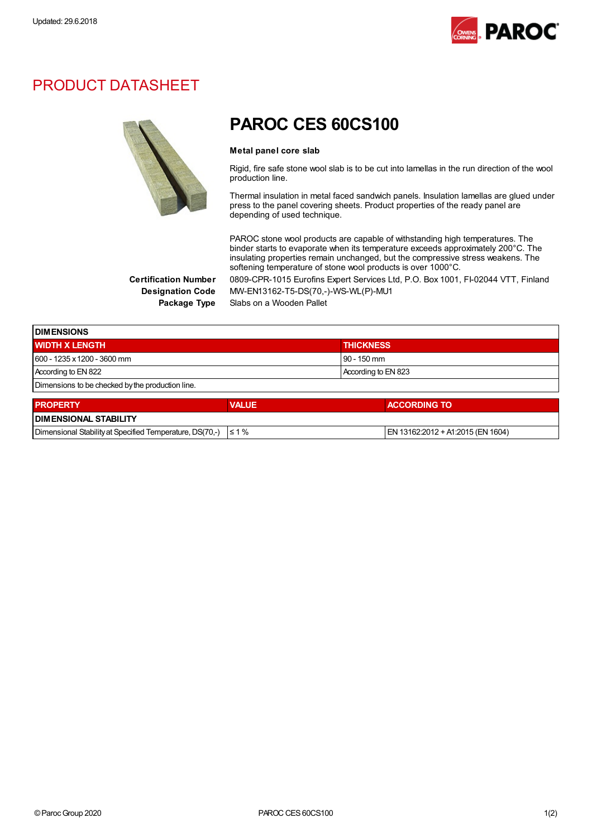

### PRODUCT DATASHEET



## PAROC CES 60CS100

#### Metal panel core slab

Rigid, fire safe stone wool slab is to be cut into lamellas in the run direction of the wool production line.

Thermal insulation in metal faced sandwich panels. Insulation lamellas are glued under press to the panel covering sheets. Product properties of the ready panel are depending of used technique.

PAROC stone wool products are capable of withstanding high temperatures. The binder starts to evaporate when its temperature exceeds approximately 200°C. The insulating properties remain unchanged, but the compressive stress weakens. The softening temperature of stone wool products is over 1000°C.

Certification Number 0809-CPR-1015 Eurofins Expert Services Ltd, P.O. Box 1001, FI-02044 VTT, Finland

Designation Code MW-EN13162-T5-DS(70,-)-WS-WL(P)-MU1 Package Type Slabs on a Wooden Pallet

| <b>DIMENSIONS</b>                                |                     |  |  |
|--------------------------------------------------|---------------------|--|--|
| <b>WIDTH X LENGTH</b>                            | <b>THICKNESS</b>    |  |  |
| 600 - 1235 x 1200 - 3600 mm                      | $90 - 150$ mm       |  |  |
| According to EN 822                              | According to EN 823 |  |  |
| Dimensions to be checked by the production line. |                     |  |  |

| <b>PROPERTY</b>                                                     | <b>VALUE</b> | <b>ACCORDING TO</b>               |  |
|---------------------------------------------------------------------|--------------|-----------------------------------|--|
| <b>IDIMENSIONAL STABILITY</b>                                       |              |                                   |  |
| Dimensional Stability at Specified Temperature, DS(70,-) $\leq 1\%$ |              | EN 13162:2012 + A1:2015 (EN 1604) |  |